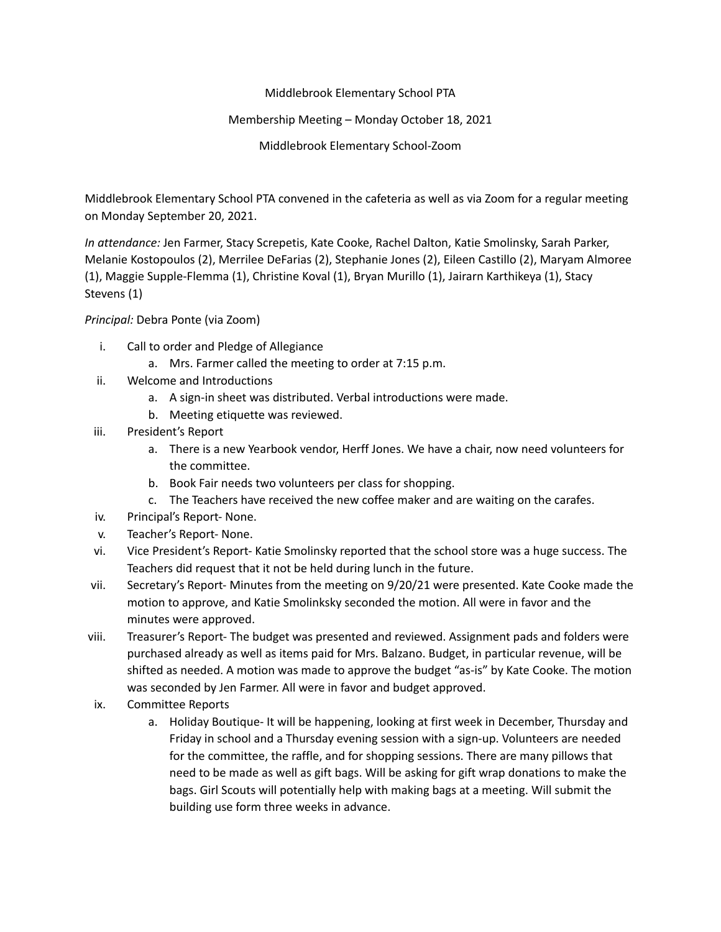## Middlebrook Elementary School PTA

## Membership Meeting – Monday October 18, 2021

Middlebrook Elementary School-Zoom

Middlebrook Elementary School PTA convened in the cafeteria as well as via Zoom for a regular meeting on Monday September 20, 2021.

*In attendance:* Jen Farmer, Stacy Screpetis, Kate Cooke, Rachel Dalton, Katie Smolinsky, Sarah Parker, Melanie Kostopoulos (2), Merrilee DeFarias (2), Stephanie Jones (2), Eileen Castillo (2), Maryam Almoree (1), Maggie Supple-Flemma (1), Christine Koval (1), Bryan Murillo (1), Jairarn Karthikeya (1), Stacy Stevens (1)

## *Principal:* Debra Ponte (via Zoom)

- i. Call to order and Pledge of Allegiance
	- a. Mrs. Farmer called the meeting to order at 7:15 p.m.
- ii. Welcome and Introductions
	- a. A sign-in sheet was distributed. Verbal introductions were made.
	- b. Meeting etiquette was reviewed.
- iii. President's Report
	- a. There is a new Yearbook vendor, Herff Jones. We have a chair, now need volunteers for the committee.
	- b. Book Fair needs two volunteers per class for shopping.
	- c. The Teachers have received the new coffee maker and are waiting on the carafes.
- iv. Principal's Report- None.
- v. Teacher's Report- None.
- vi. Vice President's Report- Katie Smolinsky reported that the school store was a huge success. The Teachers did request that it not be held during lunch in the future.
- vii. Secretary's Report- Minutes from the meeting on 9/20/21 were presented. Kate Cooke made the motion to approve, and Katie Smolinksky seconded the motion. All were in favor and the minutes were approved.
- viii. Treasurer's Report- The budget was presented and reviewed. Assignment pads and folders were purchased already as well as items paid for Mrs. Balzano. Budget, in particular revenue, will be shifted as needed. A motion was made to approve the budget "as-is" by Kate Cooke. The motion was seconded by Jen Farmer. All were in favor and budget approved.
- ix. Committee Reports
	- a. Holiday Boutique- It will be happening, looking at first week in December, Thursday and Friday in school and a Thursday evening session with a sign-up. Volunteers are needed for the committee, the raffle, and for shopping sessions. There are many pillows that need to be made as well as gift bags. Will be asking for gift wrap donations to make the bags. Girl Scouts will potentially help with making bags at a meeting. Will submit the building use form three weeks in advance.